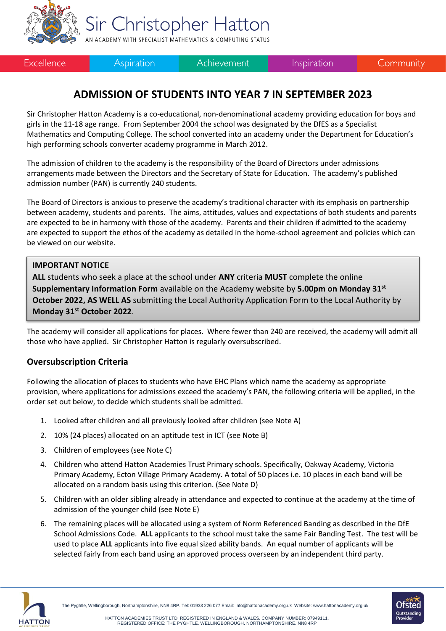

Sir Christopher Hatton AN ACADEMY WITH SPECIALIST MATHEMATICS & COMPUTING STATUS

Excellence

**Aspiration** 

Achievement

Inspiration

Community

## **ADMISSION OF STUDENTS INTO YEAR 7 IN SEPTEMBER 2023**

Sir Christopher Hatton Academy is a co-educational, non-denominational academy providing education for boys and girls in the 11-18 age range. From September 2004 the school was designated by the DfES as a Specialist Mathematics and Computing College. The school converted into an academy under the Department for Education's high performing schools converter academy programme in March 2012.

The admission of children to the academy is the responsibility of the Board of Directors under admissions arrangements made between the Directors and the Secretary of State for Education. The academy's published admission number (PAN) is currently 240 students.

The Board of Directors is anxious to preserve the academy's traditional character with its emphasis on partnership between academy, students and parents. The aims, attitudes, values and expectations of both students and parents are expected to be in harmony with those of the academy. Parents and their children if admitted to the academy are expected to support the ethos of the academy as detailed in the home-school agreement and policies which can be viewed on our website.

#### **IMPORTANT NOTICE**

**ALL** students who seek a place at the school under **ANY** criteria **MUST** complete the online **Supplementary Information Form** available on the Academy website by **5.00pm on Monday 31st October 2022, AS WELL AS** submitting the Local Authority Application Form to the Local Authority by **Monday 31st October 2022**.

The academy will consider all applications for places. Where fewer than 240 are received, the academy will admit all those who have applied. Sir Christopher Hatton is regularly oversubscribed.

## **Oversubscription Criteria**

Following the allocation of places to students who have EHC Plans which name the academy as appropriate provision, where applications for admissions exceed the academy's PAN, the following criteria will be applied, in the order set out below, to decide which students shall be admitted.

- 1. Looked after children and all previously looked after children (see Note A)
- 2. 10% (24 places) allocated on an aptitude test in ICT (see Note B)
- 3. Children of employees (see Note C)
- 4. Children who attend Hatton Academies Trust Primary schools. Specifically, Oakway Academy, Victoria Primary Academy, Ecton Village Primary Academy. A total of 50 places i.e. 10 places in each band will be allocated on a random basis using this criterion. (See Note D)
- 5. Children with an older sibling already in attendance and expected to continue at the academy at the time of admission of the younger child (see Note E)
- 6. The remaining places will be allocated using a system of Norm Referenced Banding as described in the DfE School Admissions Code. **ALL** applicants to the school must take the same Fair Banding Test. The test will be used to place **ALL** applicants into five equal sized ability bands. An equal number of applicants will be selected fairly from each band using an approved process overseen by an independent third party.



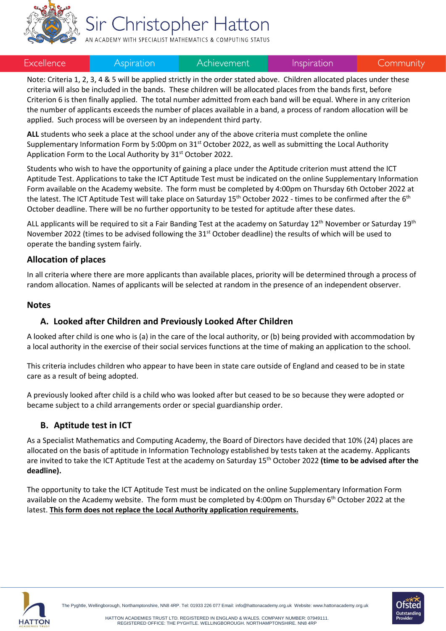

# Sir Christopher Hatton

AN ACADEMY WITH SPECIALIST MATHEMATICS & COMPUTING STATUS

#### Excellence

#### Aspiration

Achievement

Inspiration

Community

Note: Criteria 1, 2, 3, 4 & 5 will be applied strictly in the order stated above. Children allocated places under these criteria will also be included in the bands. These children will be allocated places from the bands first, before Criterion 6 is then finally applied. The total number admitted from each band will be equal. Where in any criterion the number of applicants exceeds the number of places available in a band, a process of random allocation will be applied. Such process will be overseen by an independent third party.

**ALL** students who seek a place at the school under any of the above criteria must complete the online Supplementary Information Form by 5:00pm on 31<sup>st</sup> October 2022, as well as submitting the Local Authority Application Form to the Local Authority by 31<sup>st</sup> October 2022.

Students who wish to have the opportunity of gaining a place under the Aptitude criterion must attend the ICT Aptitude Test. Applications to take the ICT Aptitude Test must be indicated on the online Supplementary Information Form available on the Academy website. The form must be completed by 4:00pm on Thursday 6th October 2022 at the latest. The ICT Aptitude Test will take place on Saturday 15<sup>th</sup> October 2022 - times to be confirmed after the 6<sup>th</sup> October deadline. There will be no further opportunity to be tested for aptitude after these dates.

ALL applicants will be required to sit a Fair Banding Test at the academy on Saturday 12<sup>th</sup> November or Saturday 19<sup>th</sup> November 2022 (times to be advised following the 31<sup>st</sup> October deadline) the results of which will be used to operate the banding system fairly.

#### **Allocation of places**

In all criteria where there are more applicants than available places, priority will be determined through a process of random allocation. Names of applicants will be selected at random in the presence of an independent observer.

#### **Notes**

#### **A. Looked after Children and Previously Looked After Children**

A looked after child is one who is (a) in the care of the local authority, or (b) being provided with accommodation by a local authority in the exercise of their social services functions at the time of making an application to the school.

This criteria includes children who appear to have been in state care outside of England and ceased to be in state care as a result of being adopted.

A previously looked after child is a child who was looked after but ceased to be so because they were adopted or became subject to a child arrangements order or special guardianship order.

#### **B. Aptitude test in ICT**

As a Specialist Mathematics and Computing Academy, the Board of Directors have decided that 10% (24) places are allocated on the basis of aptitude in Information Technology established by tests taken at the academy. Applicants are invited to take the ICT Aptitude Test at the academy on Saturday 15 th October 2022 **(time to be advised after the deadline).** 

The opportunity to take the ICT Aptitude Test must be indicated on the online Supplementary Information Form available on the Academy website. The form must be completed by 4:00pm on Thursday 6<sup>th</sup> October 2022 at the latest. **This form does not replace the Local Authority application requirements.**





The Pyghtle, Wellingborough, Northamptonshire, NN8 4RP. Tel: 01933 226 077 Email[: info@hattonacademy.org.uk](mailto:info@hattonacademy.org.uk) Website[: www.hattonacademy.org.uk](http://www.hattonacademy.org.uk/)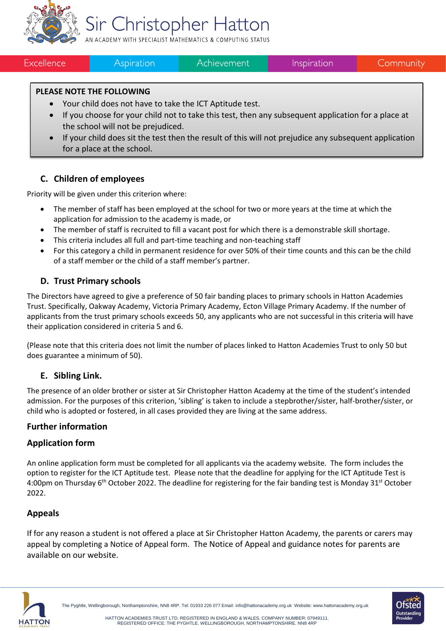

# Sir Christopher Hatton

AN ACADEMY WITH SPECIALIST MATHEMATICS & COMPUTING STATUS

Excellence

**Aspiration** 

Achievement

Community

### **PLEASE NOTE THE FOLLOWING**

- Your child does not have to take the ICT Aptitude test.
- If you choose for your child not to take this test, then any subsequent application for a place at the school will not be prejudiced.
- If your child does sit the test then the result of this will not prejudice any subsequent application for a place at the school.

## **C. Children of employees**

Priority will be given under this criterion where:

- The member of staff has been employed at the school for two or more years at the time at which the application for admission to the academy is made, or
- The member of staff is recruited to fill a vacant post for which there is a demonstrable skill shortage.
- This criteria includes all full and part-time teaching and non-teaching staff
- For this category a child in permanent residence for over 50% of their time counts and this can be the child of a staff member or the child of a staff member's partner.

## **D. Trust Primary schools**

The Directors have agreed to give a preference of 50 fair banding places to primary schools in Hatton Academies Trust. Specifically, Oakway Academy, Victoria Primary Academy, Ecton Village Primary Academy. If the number of applicants from the trust primary schools exceeds 50, any applicants who are not successful in this criteria will have their application considered in criteria 5 and 6.

(Please note that this criteria does not limit the number of places linked to Hatton Academies Trust to only 50 but does guarantee a minimum of 50).

## **E. Sibling Link.**

The presence of an older brother or sister at Sir Christopher Hatton Academy at the time of the student's intended admission. For the purposes of this criterion, 'sibling' is taken to include a stepbrother/sister, half-brother/sister, or child who is adopted or fostered, in all cases provided they are living at the same address.

## **Further information**

## **Application form**

An online application form must be completed for all applicants via the academy website. The form includes the option to register for the ICT Aptitude test. Please note that the deadline for applying for the ICT Aptitude Test is 4:00pm on Thursday 6<sup>th</sup> October 2022. The deadline for registering for the fair banding test is Monday 31<sup>st</sup> October 2022.

## **Appeals**

If for any reason a student is not offered a place at Sir Christopher Hatton Academy, the parents or carers may appeal by completing a Notice of Appeal form. The Notice of Appeal and guidance notes for parents are available on our website.



HATTON ACADEMIES TRUST LTD. REGISTERED IN ENGLAND & WALES. COMPANY NUMBER: 07949111. REGISTERED OFFICE: THE PYGHTLE, WELLINGBOROUGH, NORTHAMPTONSHIRE, NN8 4RP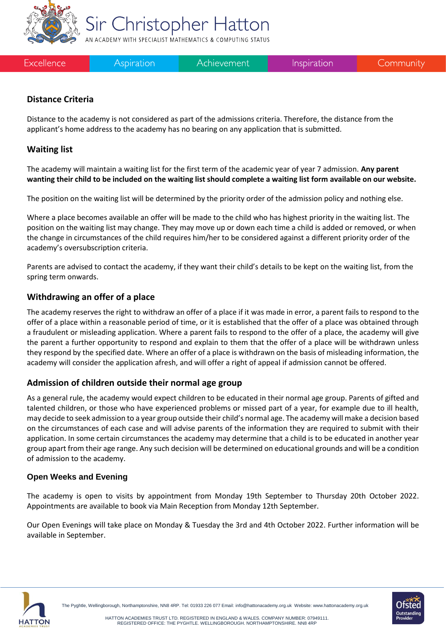

Excellence

Aspiration

Achievement

Inspiration

Community

## **Distance Criteria**

Distance to the academy is not considered as part of the admissions criteria. Therefore, the distance from the applicant's home address to the academy has no bearing on any application that is submitted.

Sir Christopher Hatton AN ACADEMY WITH SPECIALIST MATHEMATICS & COMPUTING STATUS

### **Waiting list**

The academy will maintain a waiting list for the first term of the academic year of year 7 admission. **Any parent wanting their child to be included on the waiting list should complete a waiting list form available on our website.**

The position on the waiting list will be determined by the priority order of the admission policy and nothing else.

Where a place becomes available an offer will be made to the child who has highest priority in the waiting list. The position on the waiting list may change. They may move up or down each time a child is added or removed, or when the change in circumstances of the child requires him/her to be considered against a different priority order of the academy's oversubscription criteria.

Parents are advised to contact the academy, if they want their child's details to be kept on the waiting list, from the spring term onwards.

#### **Withdrawing an offer of a place**

The academy reserves the right to withdraw an offer of a place if it was made in error, a parent fails to respond to the offer of a place within a reasonable period of time, or it is established that the offer of a place was obtained through a fraudulent or misleading application. Where a parent fails to respond to the offer of a place, the academy will give the parent a further opportunity to respond and explain to them that the offer of a place will be withdrawn unless they respond by the specified date. Where an offer of a place is withdrawn on the basis of misleading information, the academy will consider the application afresh, and will offer a right of appeal if admission cannot be offered.

#### **Admission of children outside their normal age group**

As a general rule, the academy would expect children to be educated in their normal age group. Parents of gifted and talented children, or those who have experienced problems or missed part of a year, for example due to ill health, may decide to seek admission to a year group outside their child's normal age. The academy will make a decision based on the circumstances of each case and will advise parents of the information they are required to submit with their application. In some certain circumstances the academy may determine that a child is to be educated in another year group apart from their age range. Any such decision will be determined on educational grounds and will be a condition of admission to the academy.

#### **Open Weeks and Evening**

The academy is open to visits by appointment from Monday 19th September to Thursday 20th October 2022. Appointments are available to book via Main Reception from Monday 12th September.

Our Open Evenings will take place on Monday & Tuesday the 3rd and 4th October 2022. Further information will be available in September.





The Pyghtle, Wellingborough, Northamptonshire, NN8 4RP. Tel: 01933 226 077 Email[: info@hattonacademy.org.uk](mailto:info@hattonacademy.org.uk) Website[: www.hattonacademy.org.uk](http://www.hattonacademy.org.uk/)